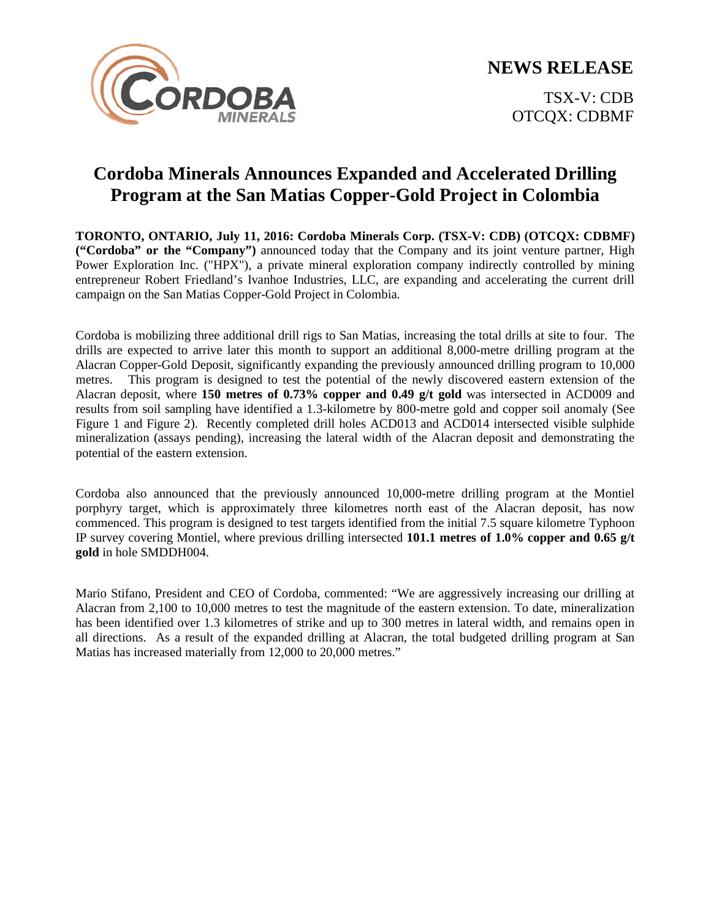**NEWS RELEASE**



TSX-V: CDB OTCQX: CDBMF

# **Cordoba Minerals Announces Expanded and Accelerated Drilling Program at the San Matias Copper-Gold Project in Colombia**

**TORONTO, ONTARIO, July 11, 2016: Cordoba Minerals Corp. (TSX-V: CDB) (OTCQX: CDBMF) ("Cordoba" or the "Company")** announced today that the Company and its joint venture partner, High Power Exploration Inc. ("HPX"), a private mineral exploration company indirectly controlled by mining entrepreneur Robert Friedland's Ivanhoe Industries, LLC, are expanding and accelerating the current drill campaign on the San Matias Copper-Gold Project in Colombia.

Cordoba is mobilizing three additional drill rigs to San Matias, increasing the total drills at site to four. The drills are expected to arrive later this month to support an additional 8,000-metre drilling program at the Alacran Copper-Gold Deposit, significantly expanding the previously announced drilling program to 10,000 metres. This program is designed to test the potential of the newly discovered eastern extension of the Alacran deposit, where **150 metres of 0.73% copper and 0.49 g/t gold** was intersected in ACD009 and results from soil sampling have identified a 1.3-kilometre by 800-metre gold and copper soil anomaly (See Figure 1 and Figure 2). Recently completed drill holes ACD013 and ACD014 intersected visible sulphide mineralization (assays pending), increasing the lateral width of the Alacran deposit and demonstrating the potential of the eastern extension.

Cordoba also announced that the previously announced 10,000-metre drilling program at the Montiel porphyry target, which is approximately three kilometres north east of the Alacran deposit, has now commenced. This program is designed to test targets identified from the initial 7.5 square kilometre Typhoon IP survey covering Montiel, where previous drilling intersected **101.1 metres of 1.0% copper and 0.65 g/t gold** in hole SMDDH004.

Mario Stifano, President and CEO of Cordoba, commented: "We are aggressively increasing our drilling at Alacran from 2,100 to 10,000 metres to test the magnitude of the eastern extension. To date, mineralization has been identified over 1.3 kilometres of strike and up to 300 metres in lateral width, and remains open in all directions. As a result of the expanded drilling at Alacran, the total budgeted drilling program at San Matias has increased materially from 12,000 to 20,000 metres."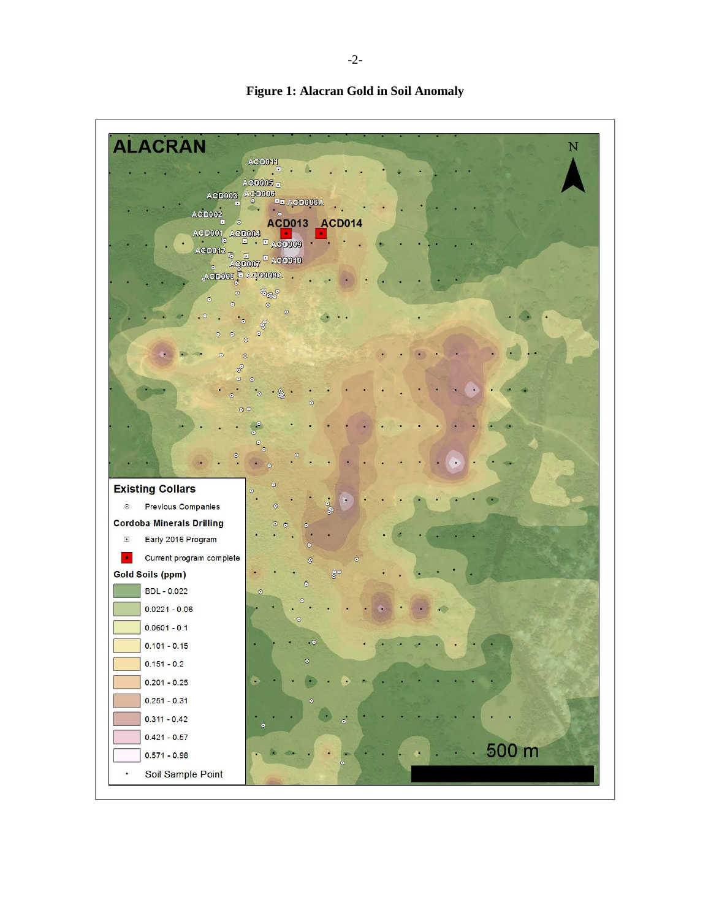

**Figure 1: Alacran Gold in Soil Anomaly**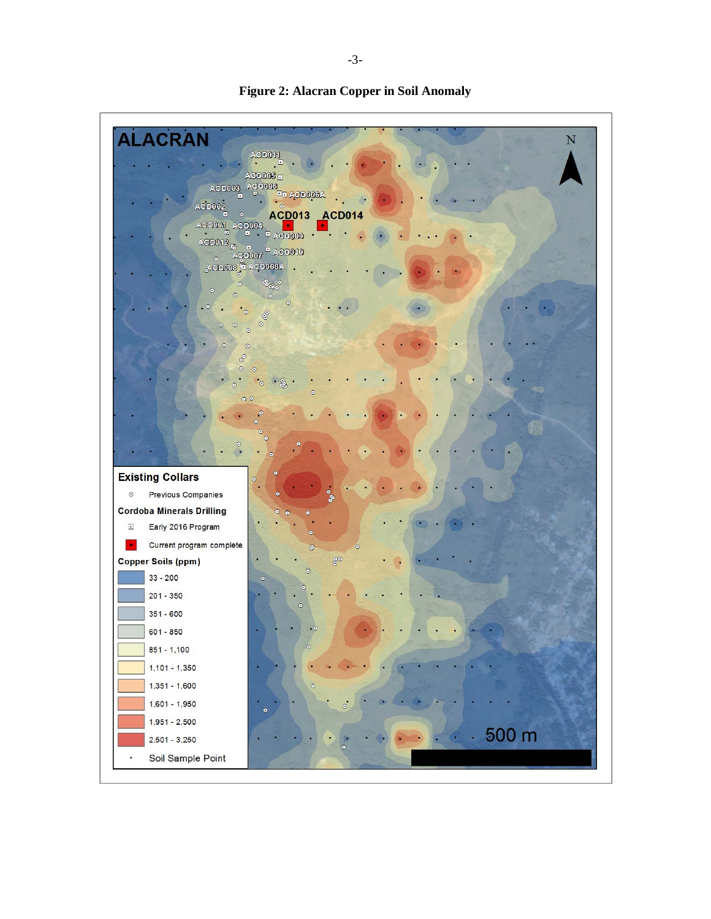

**Figure 2: Alacran Copper in Soil Anomaly**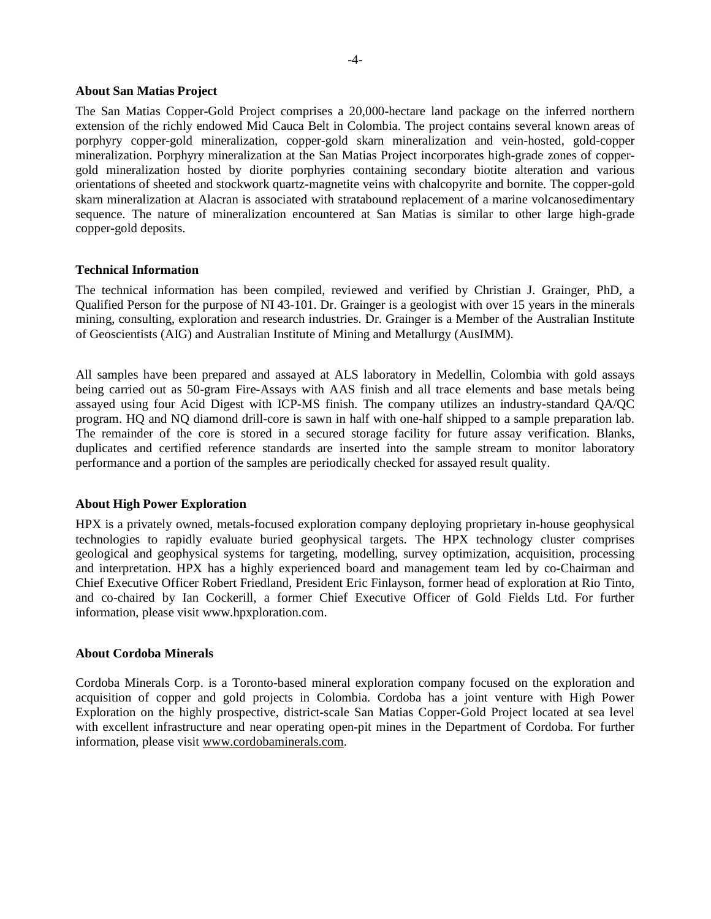### **About San Matias Project**

The San Matias Copper-Gold Project comprises a 20,000-hectare land package on the inferred northern extension of the richly endowed Mid Cauca Belt in Colombia. The project contains several known areas of porphyry copper-gold mineralization, copper-gold skarn mineralization and vein-hosted, gold-copper mineralization. Porphyry mineralization at the San Matias Project incorporates high-grade zones of coppergold mineralization hosted by diorite porphyries containing secondary biotite alteration and various orientations of sheeted and stockwork quartz-magnetite veins with chalcopyrite and bornite. The copper-gold skarn mineralization at Alacran is associated with stratabound replacement of a marine volcanosedimentary sequence. The nature of mineralization encountered at San Matias is similar to other large high-grade copper-gold deposits.

## **Technical Information**

The technical information has been compiled, reviewed and verified by Christian J. Grainger, PhD, a Qualified Person for the purpose of NI 43-101. Dr. Grainger is a geologist with over 15 years in the minerals mining, consulting, exploration and research industries. Dr. Grainger is a Member of the Australian Institute of Geoscientists (AIG) and Australian Institute of Mining and Metallurgy (AusIMM).

All samples have been prepared and assayed at ALS laboratory in Medellin, Colombia with gold assays being carried out as 50-gram Fire-Assays with AAS finish and all trace elements and base metals being assayed using four Acid Digest with ICP-MS finish. The company utilizes an industry-standard QA/QC program. HQ and NQ diamond drill-core is sawn in half with one-half shipped to a sample preparation lab. The remainder of the core is stored in a secured storage facility for future assay verification. Blanks, duplicates and certified reference standards are inserted into the sample stream to monitor laboratory performance and a portion of the samples are periodically checked for assayed result quality.

## **About High Power Exploration**

HPX is a privately owned, metals-focused exploration company deploying proprietary in-house geophysical technologies to rapidly evaluate buried geophysical targets. The HPX technology cluster comprises geological and geophysical systems for targeting, modelling, survey optimization, acquisition, processing and interpretation. HPX has a highly experienced board and management team led by co-Chairman and Chief Executive Officer Robert Friedland, President Eric Finlayson, former head of exploration at Rio Tinto, and co-chaired by Ian Cockerill, a former Chief Executive Officer of Gold Fields Ltd. For further information, please visit www.hpxploration.com.

## **About Cordoba Minerals**

Cordoba Minerals Corp. is a Toronto-based mineral exploration company focused on the exploration and acquisition of copper and gold projects in Colombia. Cordoba has a joint venture with High Power Exploration on the highly prospective, district-scale San Matias Copper-Gold Project located at sea level with excellent infrastructure and near operating open-pit mines in the Department of Cordoba. For further information, please visit [www.cordobaminerals.com.](http://www.cordobaminerals.com/)